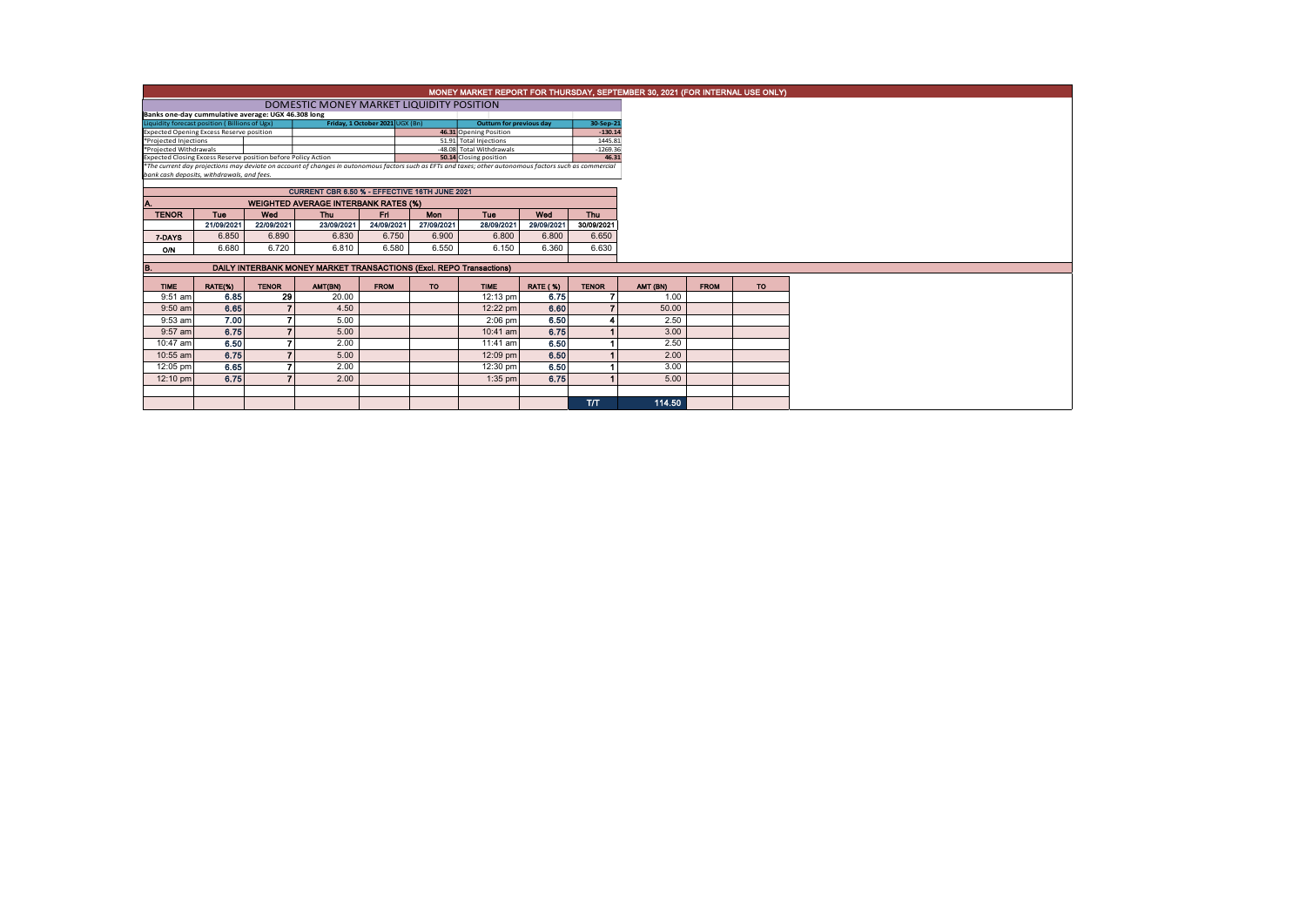| MONEY MARKET REPORT FOR THURSDAY, SEPTEMBER 30, 2021 (FOR INTERNAL USE ONLY)                                                                             |            |              |                                                                     |             |            |                                                    |                 |                       |          |             |           |  |
|----------------------------------------------------------------------------------------------------------------------------------------------------------|------------|--------------|---------------------------------------------------------------------|-------------|------------|----------------------------------------------------|-----------------|-----------------------|----------|-------------|-----------|--|
|                                                                                                                                                          |            |              |                                                                     |             |            |                                                    |                 |                       |          |             |           |  |
| Banks one-day cummulative average: UGX 46.308 long                                                                                                       |            |              |                                                                     |             |            |                                                    |                 |                       |          |             |           |  |
| Liquidity forecast position (Billions of Ugx)                                                                                                            |            |              | 30-Sep-21                                                           |             |            |                                                    |                 |                       |          |             |           |  |
| Expected Opening Excess Reserve position                                                                                                                 |            |              |                                                                     |             |            | 46.31 Opening Position                             |                 | $-130.14$             |          |             |           |  |
| *Projected Injections                                                                                                                                    |            |              |                                                                     |             |            | 51.91 Total Injections<br>-48.08 Total Withdrawals |                 | 1445.81<br>$-1269.36$ |          |             |           |  |
| *Projected Withdrawals<br>Expected Closing Excess Reserve position before Policy Action                                                                  |            |              |                                                                     |             |            | 50.14 Closing position                             |                 | 46.31                 |          |             |           |  |
| *The current day projections may deviate on account of changes in autonomous factors such as EFTs and taxes; other autonomous factors such as commercial |            |              |                                                                     |             |            |                                                    |                 |                       |          |             |           |  |
| bank cash deposits, withdrawals, and fees.                                                                                                               |            |              |                                                                     |             |            |                                                    |                 |                       |          |             |           |  |
|                                                                                                                                                          |            |              | CURRENT CBR 6.50 % - EFFECTIVE 16TH JUNE 2021                       |             |            |                                                    |                 |                       |          |             |           |  |
|                                                                                                                                                          |            |              | <b>WEIGHTED AVERAGE INTERBANK RATES (%)</b>                         |             |            |                                                    |                 |                       |          |             |           |  |
| <b>TENOR</b>                                                                                                                                             | <b>Tue</b> | Wed          | <b>Thu</b>                                                          | <b>Fri</b>  | <b>Mon</b> | <b>Tuo</b>                                         | Wed             | <b>Thu</b>            |          |             |           |  |
|                                                                                                                                                          | 21/09/2021 | 22/09/2021   | 23/09/2021                                                          | 24/09/2021  | 27/09/2021 | 28/09/2021                                         | 29/09/2021      | 30/09/2021            |          |             |           |  |
| 7-DAYS                                                                                                                                                   | 6.850      | 6.890        | 6.830                                                               | 6.750       | 6.900      | 6.800                                              | 6,800           | 6.650                 |          |             |           |  |
| O/N                                                                                                                                                      | 6.680      | 6.720        | 6.810                                                               | 6.580       | 6.550      | 6.150                                              | 6.360           | 6.630                 |          |             |           |  |
|                                                                                                                                                          |            |              |                                                                     |             |            |                                                    |                 |                       |          |             |           |  |
| B.                                                                                                                                                       |            |              | DAILY INTERBANK MONEY MARKET TRANSACTIONS (Excl. REPO Transactions) |             |            |                                                    |                 |                       |          |             |           |  |
| <b>TIME</b>                                                                                                                                              | RATE(%)    | <b>TENOR</b> | AMT(BN)                                                             | <b>FROM</b> | TO.        | <b>TIME</b>                                        | <b>RATE (%)</b> | <b>TENOR</b>          | AMT (BN) | <b>FROM</b> | <b>TO</b> |  |
| $9:51$ am                                                                                                                                                | 6.85       | 29           | 20.00                                                               |             |            | 12:13 pm                                           | 6.75            |                       | 1.00     |             |           |  |
| $9:50$ am                                                                                                                                                | 6.65       |              | 4.50                                                                |             |            | 12:22 pm                                           | 6.60            |                       | 50.00    |             |           |  |
| $9:53$ am                                                                                                                                                | 7.00       |              | 5.00                                                                |             |            | $2:06$ pm                                          | 6.50            |                       | 2.50     |             |           |  |
| $9:57$ am                                                                                                                                                | 6.75       |              | 5.00                                                                |             |            | 10:41 am                                           | 6.75            |                       | 3.00     |             |           |  |
| 10:47 am                                                                                                                                                 | 6.50       |              | 2.00                                                                |             |            | 11:41 am                                           | 6.50            |                       | 2.50     |             |           |  |
| 10:55 am                                                                                                                                                 | 6.75       |              | 5.00                                                                |             |            | 12:09 pm                                           | 6.50            |                       | 2.00     |             |           |  |
| 12:05 pm                                                                                                                                                 | 6.65       |              | 2.00                                                                |             |            | 12:30 pm                                           | 6.50            |                       | 3.00     |             |           |  |
| 12:10 pm                                                                                                                                                 | 6.75       |              | 2.00                                                                |             |            | $1:35$ pm                                          | 6.75            |                       | 5.00     |             |           |  |
|                                                                                                                                                          |            |              |                                                                     |             |            |                                                    |                 |                       |          |             |           |  |
|                                                                                                                                                          |            |              |                                                                     |             |            |                                                    |                 | TЛ <sub>1</sub>       | 114.50   |             |           |  |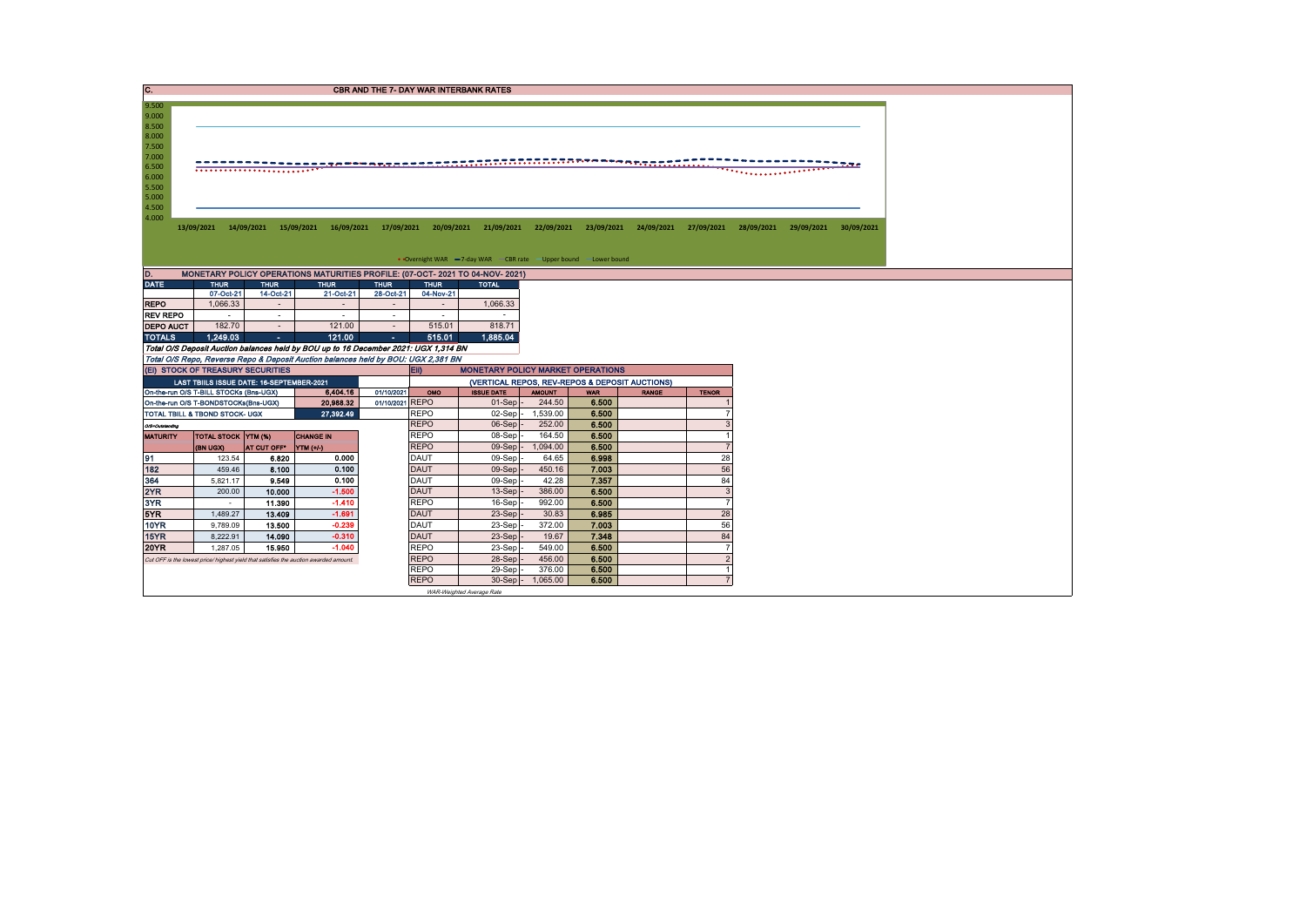| C.<br><b>CBR AND THE 7- DAY WAR INTERBANK RATES</b><br>9.500<br>9.000<br>8.500<br>8.000<br>7.500<br>7.000<br>TA MAM MTA P.T.T.<br>6.500<br>6.000<br>5.500<br>5.000<br>4.500<br>4.000<br>13/09/2021 14/09/2021 15/09/2021 16/09/2021 17/09/2021 20/09/2021 21/09/2021 22/09/2021 23/09/2021 24/09/2021 27/09/2021 28/09/2021 29/09/2021 29/09/2021 30/09/2021 |                                                                   |                    |                |              |              |  |  |  |  |  |  |  |  |
|--------------------------------------------------------------------------------------------------------------------------------------------------------------------------------------------------------------------------------------------------------------------------------------------------------------------------------------------------------------|-------------------------------------------------------------------|--------------------|----------------|--------------|--------------|--|--|--|--|--|--|--|--|
|                                                                                                                                                                                                                                                                                                                                                              |                                                                   |                    |                |              |              |  |  |  |  |  |  |  |  |
|                                                                                                                                                                                                                                                                                                                                                              | • Overnight WAR -7-day WAR - CBR rate - Upper bound - Lower bound |                    |                |              |              |  |  |  |  |  |  |  |  |
| MONETARY POLICY OPERATIONS MATURITIES PROFILE: (07-OCT- 2021 TO 04-NOV- 2021)<br>D.                                                                                                                                                                                                                                                                          |                                                                   |                    |                |              |              |  |  |  |  |  |  |  |  |
| <b>DATE</b><br><b>THUR</b><br><b>THUR</b><br><b>THUR</b><br><b>THUR</b><br><b>THUR</b><br>14-Oct-21<br>28-Oct-21<br>07-Oct-21<br>21-Oct-21<br>04-Nov-21                                                                                                                                                                                                      | <b>TOTAL</b>                                                      |                    |                |              |              |  |  |  |  |  |  |  |  |
| 1.066.33<br><b>REPO</b><br>$\sim$<br>$\sim$                                                                                                                                                                                                                                                                                                                  | 1,066.33                                                          |                    |                |              |              |  |  |  |  |  |  |  |  |
| <b>REV REPO</b><br>$\sim$<br>$\sim$<br>$\sim$<br>$\sim$<br>$\sim$                                                                                                                                                                                                                                                                                            | $\sim$                                                            |                    |                |              |              |  |  |  |  |  |  |  |  |
| <b>DEPO AUCT</b><br>182.70<br>121.00<br>515.01<br>$\sim$<br>$\sim$                                                                                                                                                                                                                                                                                           | 818.71                                                            |                    |                |              |              |  |  |  |  |  |  |  |  |
| 1.249.03<br><b>TOTALS</b><br>121.00<br>515.01<br>$\sim$<br>$\sim$                                                                                                                                                                                                                                                                                            | 1,885.04                                                          |                    |                |              |              |  |  |  |  |  |  |  |  |
| Total O/S Deposit Auction balances held by BOU up to 16 December 2021: UGX 1,314 BN                                                                                                                                                                                                                                                                          |                                                                   |                    |                |              |              |  |  |  |  |  |  |  |  |
| Total O/S Repo, Reverse Repo & Deposit Auction balances held by BOU: UGX 2,381 BN                                                                                                                                                                                                                                                                            |                                                                   |                    |                |              |              |  |  |  |  |  |  |  |  |
| (Ei) STOCK OF TREASURY SECURITIES<br>EII)                                                                                                                                                                                                                                                                                                                    | <b>MONETARY POLICY MARKET OPERATIONS</b>                          |                    |                |              |              |  |  |  |  |  |  |  |  |
| LAST TBIILS ISSUE DATE: 16-SEPTEMBER-2021                                                                                                                                                                                                                                                                                                                    | (VERTICAL REPOS, REV-REPOS & DEPOSIT AUCTIONS)                    |                    |                |              |              |  |  |  |  |  |  |  |  |
| 6,404.16<br>01/10/2021<br>On-the-run O/S T-BILL STOCKs (Bns-UGX)<br>OMO                                                                                                                                                                                                                                                                                      | <b>ISSUE DATE</b>                                                 | <b>AMOUNT</b>      | <b>WAR</b>     | <b>RANGE</b> | <b>TENOR</b> |  |  |  |  |  |  |  |  |
| 01/10/2021 REPO<br>On-the-run O/S T-BONDSTOCKs(Bns-UGX)<br>20,988.32<br><b>REPO</b>                                                                                                                                                                                                                                                                          | $01-Sep$ -                                                        | 244.50             | 6.500<br>6.500 |              |              |  |  |  |  |  |  |  |  |
| 27,392.49<br>TOTAL TBILL & TBOND STOCK- UGX<br><b>REPO</b>                                                                                                                                                                                                                                                                                                   | $02-Sep -$<br>$06-Sep$                                            | 1,539.00<br>252.00 | 6.500          |              |              |  |  |  |  |  |  |  |  |
| O/S-Outstanding<br><b>REPO</b><br><b>TOTAL STOCK YTM (%)</b><br><b>CHANGE IN</b><br><b>MATURITY</b>                                                                                                                                                                                                                                                          | $08-Sep$                                                          | 164.50             | 6.500          |              |              |  |  |  |  |  |  |  |  |
| <b>REPO</b><br>(BN UGX)<br>AT CUT OFF <sup>®</sup><br>NTM(1/4)                                                                                                                                                                                                                                                                                               | $09-Sep$ -                                                        | 1,094.00           | 6.500          |              |              |  |  |  |  |  |  |  |  |
| 91<br>0.000<br>DAUT<br>123.54<br>6.820                                                                                                                                                                                                                                                                                                                       | 09-Sep                                                            | 64.65              | 6.998          |              | 28           |  |  |  |  |  |  |  |  |
| 182<br><b>DAUT</b><br>0.100<br>8.100<br>459.46                                                                                                                                                                                                                                                                                                               | 09-Sep                                                            | 450.16             | 7.003          |              | 56           |  |  |  |  |  |  |  |  |
| 364<br>0.100<br>DAUT<br>5.821.17<br>9.549                                                                                                                                                                                                                                                                                                                    | 09-Sep                                                            | 42.28              | 7.357          |              | 84           |  |  |  |  |  |  |  |  |
| 2YR<br>$-1.500$<br><b>DAUT</b><br>200.00<br>10.000                                                                                                                                                                                                                                                                                                           | $13-Sep$                                                          | 386.00             | 6,500          |              | 3            |  |  |  |  |  |  |  |  |
| 3YR<br>$-1.410$<br>11.390<br><b>REPO</b><br>$\sim$                                                                                                                                                                                                                                                                                                           | 16-Sep                                                            | 992.00             | 6.500          |              |              |  |  |  |  |  |  |  |  |
| 5YR<br>$-1.691$<br>13.409<br><b>DAUT</b><br>1,489.27                                                                                                                                                                                                                                                                                                         | $23-Sep$                                                          | 30.83              | 6.985          |              | 28           |  |  |  |  |  |  |  |  |
| 10YR<br>$-0.239$<br>DAUT<br>13.500<br>9,789.09                                                                                                                                                                                                                                                                                                               | 23-Sep                                                            | 372.00             | 7.003          |              | 56           |  |  |  |  |  |  |  |  |
| <b>15YR</b><br>$-0.310$<br><b>DAUT</b><br>8,222.91<br>14.090                                                                                                                                                                                                                                                                                                 | 23-Sep                                                            | 19.67              | 7.348          |              | 84           |  |  |  |  |  |  |  |  |
| <b>REPO</b><br><b>20YR</b><br>15.950<br>$-1.040$<br>1.287.05                                                                                                                                                                                                                                                                                                 | 23-Sep                                                            | 549.00             | 6.500          |              |              |  |  |  |  |  |  |  |  |
| <b>REPO</b><br>Cut OFF is the lowest price/ highest yield that satisfies the auction awarded amount.                                                                                                                                                                                                                                                         | $28-Sep$                                                          | 456.00             | 6.500          |              |              |  |  |  |  |  |  |  |  |
|                                                                                                                                                                                                                                                                                                                                                              |                                                                   | 376.00             | 6.500          |              |              |  |  |  |  |  |  |  |  |
| REPO<br><b>REPO</b>                                                                                                                                                                                                                                                                                                                                          | 29-Sep<br>$30-Sep$ -                                              | 1.065.00           | 6.500          |              |              |  |  |  |  |  |  |  |  |